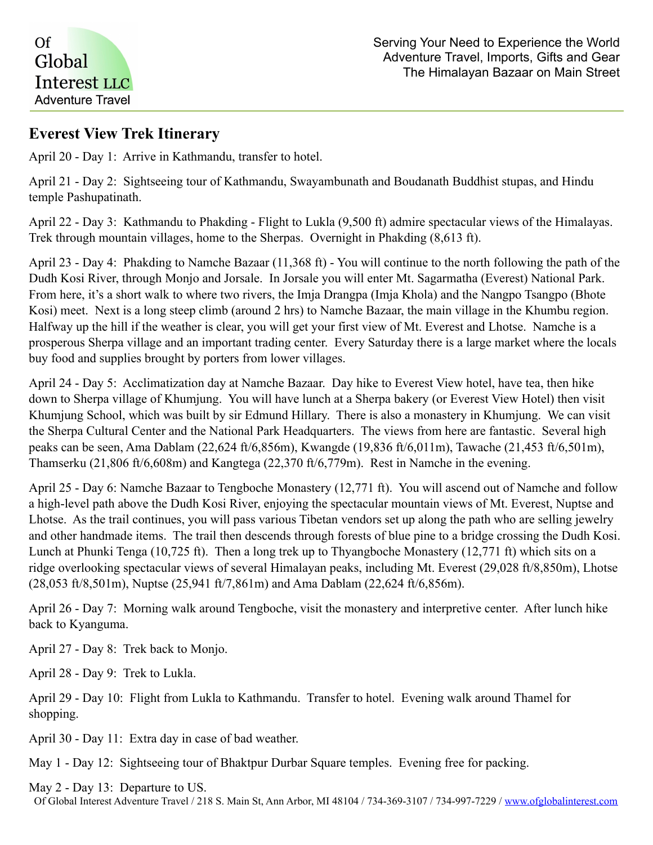

## **Everest View Trek Itinerary**

April 20 - Day 1: Arrive in Kathmandu, transfer to hotel.

April 21 - Day 2: Sightseeing tour of Kathmandu, Swayambunath and Boudanath Buddhist stupas, and Hindu temple Pashupatinath.

April 22 - Day 3: Kathmandu to Phakding - Flight to Lukla (9,500 ft) admire spectacular views of the Himalayas. Trek through mountain villages, home to the Sherpas. Overnight in Phakding (8,613 ft).

April 23 - Day 4: Phakding to Namche Bazaar (11,368 ft) - You will continue to the north following the path of the Dudh Kosi River, through Monjo and Jorsale. In Jorsale you will enter Mt. Sagarmatha (Everest) National Park. From here, it's a short walk to where two rivers, the Imja Drangpa (Imja Khola) and the Nangpo Tsangpo (Bhote Kosi) meet. Next is a long steep climb (around 2 hrs) to Namche Bazaar, the main village in the Khumbu region. Halfway up the hill if the weather is clear, you will get your first view of Mt. Everest and Lhotse. Namche is a prosperous Sherpa village and an important trading center. Every Saturday there is a large market where the locals buy food and supplies brought by porters from lower villages.

April 24 - Day 5: Acclimatization day at Namche Bazaar. Day hike to Everest View hotel, have tea, then hike down to Sherpa village of Khumjung. You will have lunch at a Sherpa bakery (or Everest View Hotel) then visit Khumjung School, which was built by sir Edmund Hillary. There is also a monastery in Khumjung. We can visit the Sherpa Cultural Center and the National Park Headquarters. The views from here are fantastic. Several high peaks can be seen, Ama Dablam (22,624 ft/6,856m), Kwangde (19,836 ft/6,011m), Tawache (21,453 ft/6,501m), Thamserku (21,806 ft/6,608m) and Kangtega (22,370 ft/6,779m). Rest in Namche in the evening.

April 25 - Day 6: Namche Bazaar to Tengboche Monastery (12,771 ft). You will ascend out of Namche and follow a high-level path above the Dudh Kosi River, enjoying the spectacular mountain views of Mt. Everest, Nuptse and Lhotse. As the trail continues, you will pass various Tibetan vendors set up along the path who are selling jewelry and other handmade items. The trail then descends through forests of blue pine to a bridge crossing the Dudh Kosi. Lunch at Phunki Tenga (10,725 ft). Then a long trek up to Thyangboche Monastery (12,771 ft) which sits on a ridge overlooking spectacular views of several Himalayan peaks, including Mt. Everest (29,028 ft/8,850m), Lhotse (28,053 ft/8,501m), Nuptse (25,941 ft/7,861m) and Ama Dablam (22,624 ft/6,856m).

April 26 - Day 7: Morning walk around Tengboche, visit the monastery and interpretive center. After lunch hike back to Kyanguma.

April 27 - Day 8: Trek back to Monjo.

April 28 - Day 9: Trek to Lukla.

April 29 - Day 10: Flight from Lukla to Kathmandu. Transfer to hotel. Evening walk around Thamel for shopping.

April 30 - Day 11: Extra day in case of bad weather.

May 1 - Day 12: Sightseeing tour of Bhaktpur Durbar Square temples. Evening free for packing.

May 2 - Day 13: Departure to US.

Of Global Interest Adventure Travel / 218 S. Main St, Ann Arbor, MI 48104 / 734-369-3107 / 734-997-7229 / [www.ofglobalinterest.com](http://www.ofglobalinterest.com)